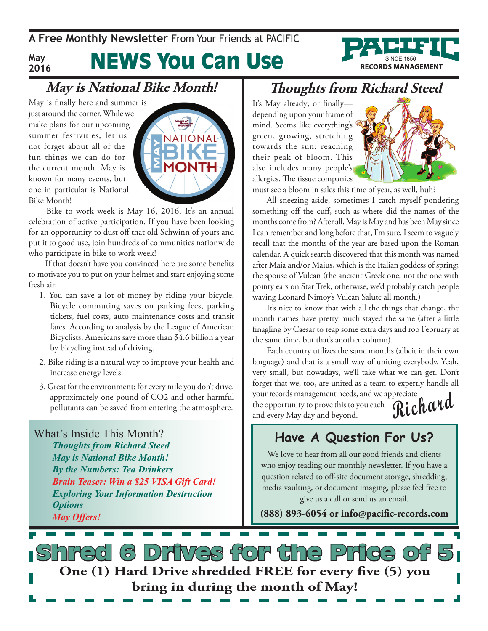**May 2016**

# News You Can Use

## **May is National Bike Month!**

May is finally here and summer is just around the corner. While we make plans for our upcoming summer festivities, let us not forget about all of the fun things we can do for the current month. May is known for many events, but one in particular is National Bike Month!



 Bike to work week is May 16, 2016. It's an annual celebration of active participation. If you have been looking for an opportunity to dust off that old Schwinn of yours and put it to good use, join hundreds of communities nationwide who participate in bike to work week!

 If that doesn't have you convinced here are some benefits to motivate you to put on your helmet and start enjoying some fresh air:

- 1. You can save a lot of money by riding your bicycle. Bicycle commuting saves on parking fees, parking tickets, fuel costs, auto maintenance costs and transit fares. According to analysis by the League of American Bicyclists, Americans save more than \$4.6 billion a year by bicycling instead of driving.
- 2. Bike riding is a natural way to improve your health and increase energy levels.
- 3. Great for the environment: for every mile you don't drive, approximately one pound of CO2 and other harmful pollutants can be saved from entering the atmosphere.

What's Inside This Month? *Thoughts from Richard Steed May is National Bike Month! By the Numbers: Tea Drinkers Brain Teaser: Win a \$25 VISA Gift Card! Exploring Your Information Destruction Options May Offers!*

#### **Thoughts from Richard Steed**

It's May already; or finally depending upon your frame of mind. Seems like everything's green, growing, stretching towards the sun: reaching their peak of bloom. This also includes many people's allergies. The tissue companies



**RECORDS MANAGEMENT** 

must see a bloom in sales this time of year, as well, huh?

All sneezing aside, sometimes I catch myself pondering something off the cuff, such as where did the names of the months come from? After all, May is May and has been May since I can remember and long before that, I'm sure. I seem to vaguely recall that the months of the year are based upon the Roman calendar. A quick search discovered that this month was named after Maia and/or Maius, which is the Italian goddess of spring; the spouse of Vulcan (the ancient Greek one, not the one with pointy ears on Star Trek, otherwise, we'd probably catch people waving Leonard Nimoy's Vulcan Salute all month.)

It's nice to know that with all the things that change, the month names have pretty much stayed the same (after a little finagling by Caesar to reap some extra days and rob February at the same time, but that's another column).

**Richard** Each country utilizes the same months (albeit in their own language) and that is a small way of uniting everybody. Yeah, very small, but nowadays, we'll take what we can get. Don't forget that we, too, are united as a team to expertly handle all your records management needs, and we appreciate the opportunity to prove this to you each and every May day and beyond.

#### **Have A Question For Us?**

We love to hear from all our good friends and clients who enjoy reading our monthly newsletter. If you have a question related to off-site document storage, shredding, media vaulting, or document imaging, please feel free to give us a call or send us an email.

**(888) 893-6054 or info@pacific-records.com**

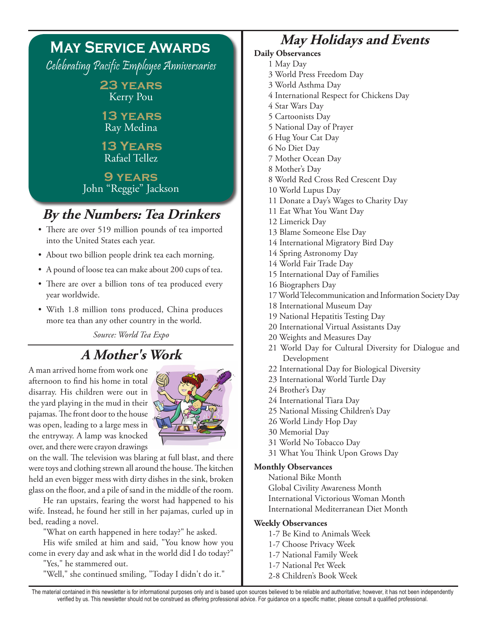

- into the United States each year.
- About two billion people drink tea each morning.
- • A pound of loose tea can make about 200 cups of tea.
- There are over a billion tons of tea produced every year worldwide.
- With 1.8 million tons produced, China produces more tea than any other country in the world.

*Source: World Tea Expo*

## **A Mother's Work**

A man arrived home from work one afternoon to find his home in total disarray. His children were out in the yard playing in the mud in their pajamas. The front door to the house was open, leading to a large mess in the entryway. A lamp was knocked over, and there were crayon drawings



on the wall. The television was blaring at full blast, and there were toys and clothing strewn all around the house. The kitchen held an even bigger mess with dirty dishes in the sink, broken glass on the floor, and a pile of sand in the middle of the room.

He ran upstairs, fearing the worst had happened to his wife. Instead, he found her still in her pajamas, curled up in bed, reading a novel.

"What on earth happened in here today?" he asked.

His wife smiled at him and said, "You know how you come in every day and ask what in the world did I do today?" "Yes," he stammered out.

"Well," she continued smiling, "Today I didn't do it."

### **May Holidays and Events**

#### **Daily Observances**

- 1 May Day
- 3 World Press Freedom Day
- 3 World Asthma Day
- 4 International Respect for Chickens Day
- 4 Star Wars Day
- 5 Cartoonists Day
- 5 National Day of Prayer
- 6 Hug Your Cat Day
- 6 No Diet Day
- 7 Mother Ocean Day
- 8 Mother's Day
- 8 World Red Cross Red Crescent Day
- 10 World Lupus Day
- 11 Donate a Day's Wages to Charity Day
- 11 Eat What You Want Day
- 12 Limerick Day
- 13 Blame Someone Else Day
- 14 International Migratory Bird Day
- 14 Spring Astronomy Day
- 14 World Fair Trade Day
- 15 International Day of Families
- 16 Biographers Day
- 17 World Telecommunication and Information Society Day
- 18 International Museum Day
- 19 National Hepatitis Testing Day
- 20 International Virtual Assistants Day
- 20 Weights and Measures Day
- 21 World Day for Cultural Diversity for Dialogue and Development
- 22 International Day for Biological Diversity
- 23 International World Turtle Day
- 24 Brother's Day
- 24 International Tiara Day
- 25 National Missing Children's Day
- 26 World Lindy Hop Day
- 30 Memorial Day
- 31 World No Tobacco Day
- 31 What You Think Upon Grows Day

#### **Monthly Observances**

National Bike Month Global Civility Awareness Month International Victorious Woman Month International Mediterranean Diet Month

#### **Weekly Observances**

- 1-7 Be Kind to Animals Week
- 1-7 Choose Privacy Week
- 1-7 National Family Week
- 1-7 National Pet Week
- 2-8 Children's Book Week

The material contained in this newsletter is for informational purposes only and is based upon sources believed to be reliable and authoritative; however, it has not been independently verified by us. This newsletter should not be construed as offering professional advice. For guidance on a specific matter, please consult a qualified professional.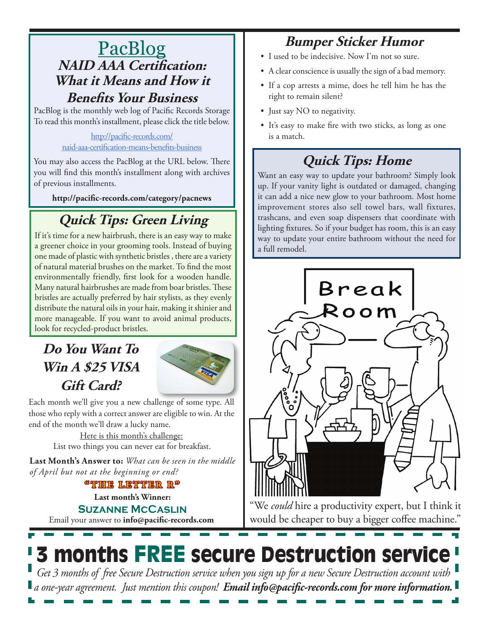### PacBlog **NAID AAA Certification: What it Means and How it Benefits Your Business**

PacBlog is the monthly web log of Pacific Records Storage To read this month's installment, please click the title below.

> [http://pacific-records.com/](http://pacific-records.com/naid-aaa-certification-means-benefits-business) [naid-aaa-certification-means-benefits-business](http://pacific-records.com/naid-aaa-certification-means-benefits-business)

You may also access the PacBlog at the URL below. There you will find this month's installment along with archives of previous installments.

**http://pacific-records.com/category/pacnews**

# **Quick Tips: Green Living**

If it's time for a new hairbrush, there is an easy way to make a greener choice in your grooming tools. Instead of buying one made of plastic with synthetic bristles , there are a variety of natural material brushes on the market. To find the most environmentally friendly, first look for a wooden handle. Many natural hairbrushes are made from boar bristles. These bristles are actually preferred by hair stylists, as they evenly distribute the natural oils in your hair, making it shinier and more manageable. If you want to avoid animal products, look for recycled-product bristles.

## **Do You Want To Win A \$25 VISA Gift Card?**



Each month we'll give you a new challenge of some type. All those who reply with a correct answer are eligible to win. At the end of the month we'll draw a lucky name.

Here is this month's challenge: List two things you can never eat for breakfast.

**Last Month's Answer to:** *What can be seen in the middle of April but not at the beginning or end?*

**"THE LETTER R"**

Email your answer to **info@pacific-records.com Last month's Winner: Suzanne McCaslin**

## **Bumper Sticker Humor**

- I used to be indecisive. Now I'm not so sure.
- A clear conscience is usually the sign of a bad memory.
- • If a cop arrests a mime, does he tell him he has the right to remain silent?
- Just say NO to negativity.
- It's easy to make fire with two sticks, as long as one is a match.

## **Quick Tips: Home**

Want an easy way to update your bathroom? Simply look up. If your vanity light is outdated or damaged, changing it can add a nice new glow to your bathroom. Most home improvement stores also sell towel bars, wall fixtures, trashcans, and even soap dispensers that coordinate with lighting fixtures. So if your budget has room, this is an easy way to update your entire bathroom without the need for a full remodel.



"We *could* hire a productivity expert, but I think it would be cheaper to buy a bigger coffee machine."